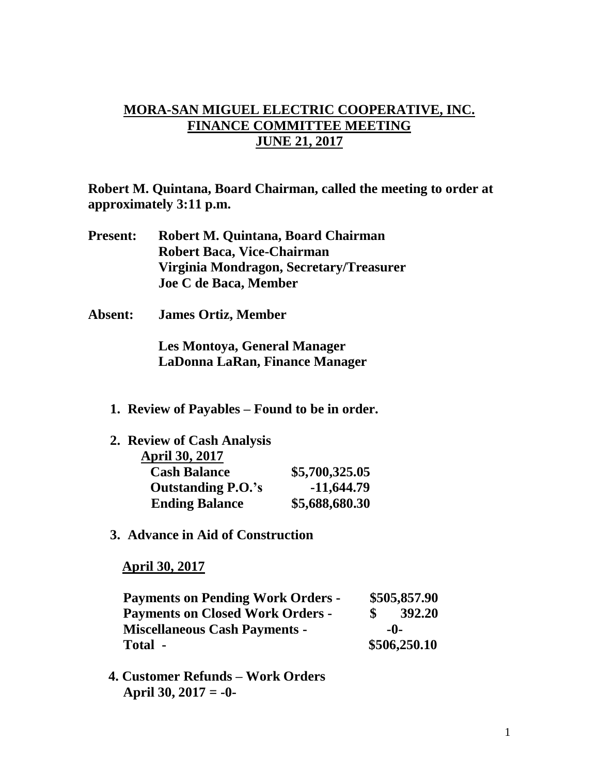## **MORA-SAN MIGUEL ELECTRIC COOPERATIVE, INC. FINANCE COMMITTEE MEETING JUNE 21, 2017**

**Robert M. Quintana, Board Chairman, called the meeting to order at approximately 3:11 p.m.**

- **Present: Robert M. Quintana, Board Chairman Robert Baca, Vice-Chairman Virginia Mondragon, Secretary/Treasurer Joe C de Baca, Member**
- **Absent: James Ortiz, Member**

**Les Montoya, General Manager LaDonna LaRan, Finance Manager**

**1. Review of Payables – Found to be in order.**

| 2. Review of Cash Analysis |                |
|----------------------------|----------------|
| <b>April 30, 2017</b>      |                |
| <b>Cash Balance</b>        | \$5,700,325.05 |
| <b>Outstanding P.O.'s</b>  | $-11,644.79$   |
| <b>Ending Balance</b>      | \$5,688,680.30 |

**3. Advance in Aid of Construction**

 **April 30, 2017**

| <b>Payments on Pending Work Orders -</b> | \$505,857.90 |              |
|------------------------------------------|--------------|--------------|
| <b>Payments on Closed Work Orders -</b>  |              | 392.20       |
| <b>Miscellaneous Cash Payments -</b>     | -0-          |              |
| Total -                                  |              | \$506,250.10 |

 **4. Customer Refunds – Work Orders April 30, 2017 = -0-**